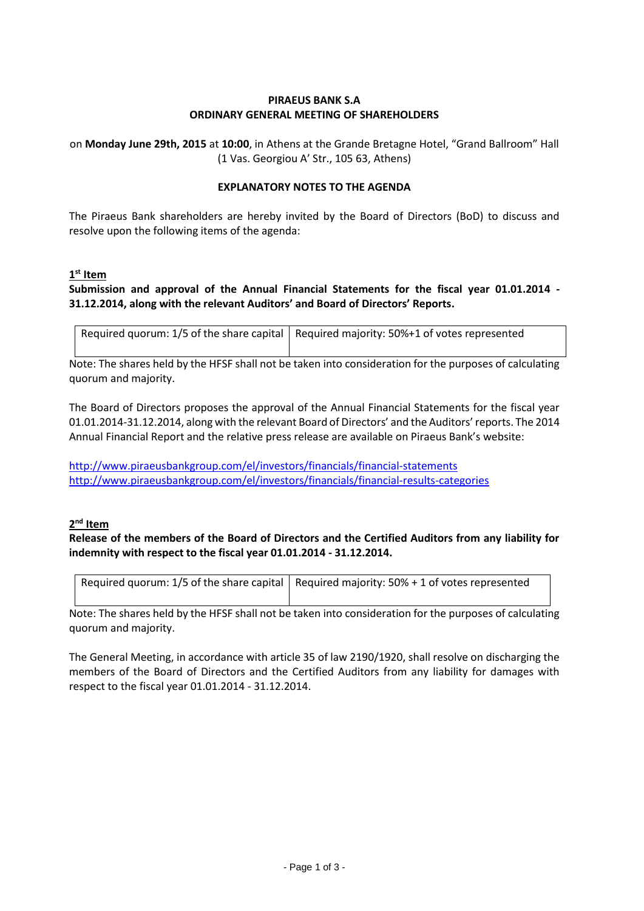#### **PIRAEUS BANK S.A ORDINARY GENERAL MEETING OF SHAREHOLDERS**

on **Monday June 29th, 2015** at **10:00**, in Athens at the Grande Bretagne Hotel, "Grand Ballroom" Hall (1 Vas. Georgiou A' Str., 105 63, Athens)

#### **EXPLANATORY NOTES TO THE AGENDA**

The Piraeus Bank shareholders are hereby invited by the Board of Directors (BoD) to discuss and resolve upon the following items of the agenda:

#### **1 st Item**

## **Submission and approval of the Annual Financial Statements for the fiscal year 01.01.2014 - 31.12.2014, along with the relevant Auditors' and Board of Directors' Reports.**

| Required quorum: 1/5 of the share capital   Required majority: 50%+1 of votes represented |
|-------------------------------------------------------------------------------------------|
|                                                                                           |

Note: The shares held by the HFSF shall not be taken into consideration for the purposes of calculating quorum and majority.

The Board of Directors proposes the approval of the Annual Financial Statements for the fiscal year 01.01.2014-31.12.2014, along with the relevant Board of Directors' and the Auditors' reports. The 2014 Annual Financial Report and the relative press release are available on Piraeus Bank's website:

<http://www.piraeusbankgroup.com/el/investors/financials/financial-statements> <http://www.piraeusbankgroup.com/el/investors/financials/financial-results-categories>

#### **2 nd Item**

**Release of the members of the Board of Directors and the Certified Auditors from any liability for indemnity with respect to the fiscal year 01.01.2014 - 31.12.2014.**

| Required quorum: 1/5 of the share capital   Required majority: $50\% + 1$ of votes represented |
|------------------------------------------------------------------------------------------------|
|                                                                                                |

Note: The shares held by the HFSF shall not be taken into consideration for the purposes of calculating quorum and majority.

The General Meeting, in accordance with article 35 of law 2190/1920, shall resolve on discharging the members of the Board of Directors and the Certified Auditors from any liability for damages with respect to the fiscal year 01.01.2014 - 31.12.2014.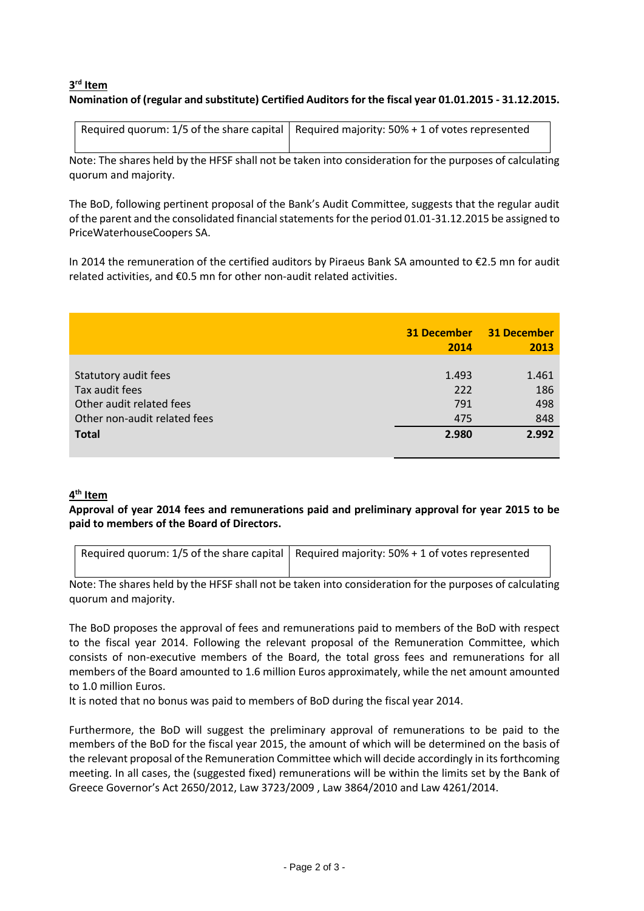## **3 rd Item Nomination of (regular and substitute) Certified Auditors for the fiscal year 01.01.2015 - 31.12.2015.**

| Required quorum: 1/5 of the share capital   Required majority: $50\% + 1$ of votes represented |
|------------------------------------------------------------------------------------------------|
|                                                                                                |

Note: The shares held by the HFSF shall not be taken into consideration for the purposes of calculating quorum and majority.

The BoD, following pertinent proposal of the Bank's Audit Committee, suggests that the regular audit of the parent and the consolidated financial statements for the period 01.01-31.12.2015 be assigned to PriceWaterhouseCoopers SA.

In 2014 the remuneration of the certified auditors by Piraeus Bank SA amounted to €2.5 mn for audit related activities, and €0.5 mn for other non-audit related activities.

|                              | <b>31 December</b><br>2014 | <b>31 December</b><br>2013 |
|------------------------------|----------------------------|----------------------------|
| Statutory audit fees         | 1.493                      | 1.461                      |
| Tax audit fees               | 222                        | 186                        |
| Other audit related fees     | 791                        | 498                        |
| Other non-audit related fees | 475                        | 848                        |
| <b>Total</b>                 | 2.980                      | 2.992                      |

### **4 th Item**

**Approval of year 2014 fees and remunerations paid and preliminary approval for year 2015 to be paid to members of the Board of Directors.**

| Required quorum: $1/5$ of the share capital   Required majority: $50% + 1$ of votes represented |
|-------------------------------------------------------------------------------------------------|
|                                                                                                 |

Note: The shares held by the HFSF shall not be taken into consideration for the purposes of calculating quorum and majority.

The BoD proposes the approval of fees and remunerations paid to members of the BoD with respect to the fiscal year 2014. Following the relevant proposal of the Remuneration Committee, which consists of non-executive members of the Board, the total gross fees and remunerations for all members of the Board amounted to 1.6 million Euros approximately, while the net amount amounted to 1.0 million Euros.

It is noted that no bonus was paid to members of BoD during the fiscal year 2014.

Furthermore, the BoD will suggest the preliminary approval of remunerations to be paid to the members of the BoD for the fiscal year 2015, the amount of which will be determined on the basis of the relevant proposal of the Remuneration Committee which will decide accordingly in its forthcoming meeting. In all cases, the (suggested fixed) remunerations will be within the limits set by the Bank of Greece Governor's Act 2650/2012, Law 3723/2009 , Law 3864/2010 and Law 4261/2014.